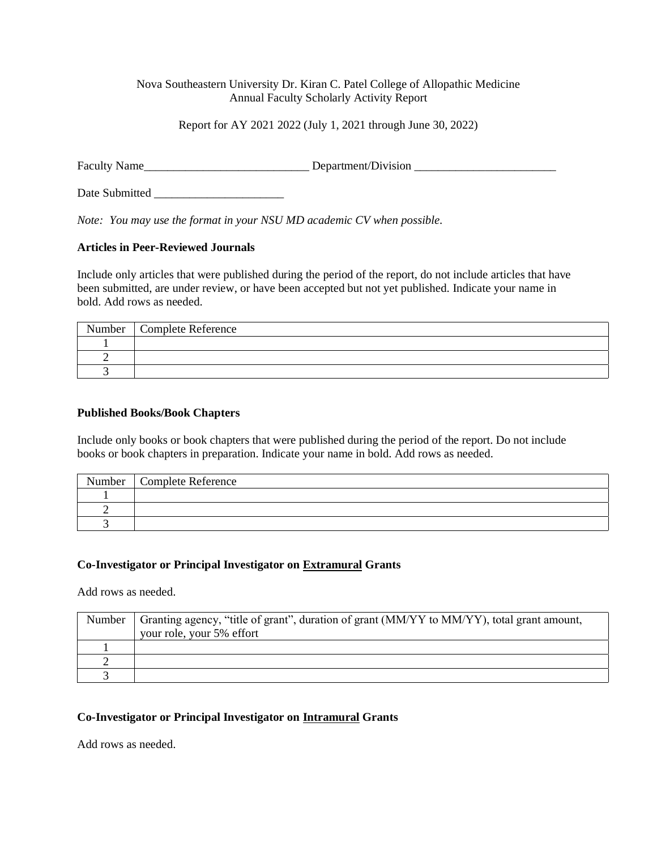## Nova Southeastern University Dr. Kiran C. Patel College of Allopathic Medicine Annual Faculty Scholarly Activity Report

Report for AY 2021 2022 (July 1, 2021 through June 30, 2022)

Faculty Name\_\_\_\_\_\_\_\_\_\_\_\_\_\_\_\_\_\_\_\_\_\_\_\_\_\_\_\_ Department/Division \_\_\_\_\_\_\_\_\_\_\_\_\_\_\_\_\_\_\_\_\_\_\_\_

Date Submitted \_\_\_\_\_\_\_\_\_\_\_\_\_\_\_\_\_\_\_\_\_\_

*Note: You may use the format in your NSU MD academic CV when possible.* 

## **Articles in Peer-Reviewed Journals**

Include only articles that were published during the period of the report, do not include articles that have been submitted, are under review, or have been accepted but not yet published. Indicate your name in bold. Add rows as needed.

| Number | <b>Complete Reference</b> |
|--------|---------------------------|
|        |                           |
|        |                           |
|        |                           |

## **Published Books/Book Chapters**

Include only books or book chapters that were published during the period of the report. Do not include books or book chapters in preparation. Indicate your name in bold. Add rows as needed.

| Number | Complete Reference |
|--------|--------------------|
|        |                    |
|        |                    |
|        |                    |

## **Co-Investigator or Principal Investigator on Extramural Grants**

Add rows as needed.

| Number | Granting agency, "title of grant", duration of grant (MM/YY to MM/YY), total grant amount, |
|--------|--------------------------------------------------------------------------------------------|
|        | your role, your 5% effort                                                                  |
|        |                                                                                            |
|        |                                                                                            |
|        |                                                                                            |

# **Co-Investigator or Principal Investigator on Intramural Grants**

Add rows as needed.